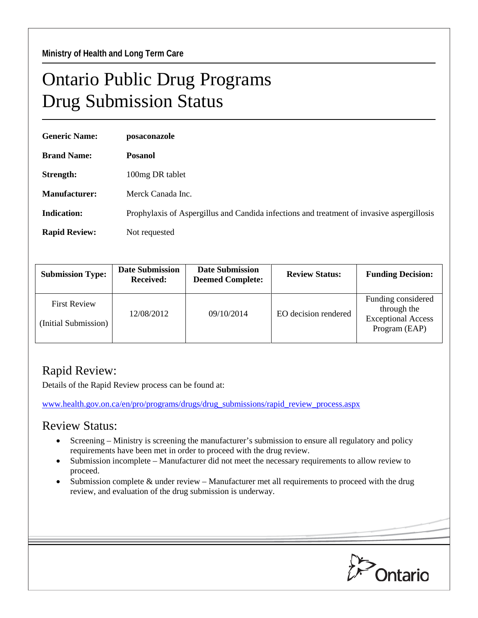## Ontario Public Drug Programs Drug Submission Status

| <b>Generic Name:</b> | posaconazole                                                                              |
|----------------------|-------------------------------------------------------------------------------------------|
| <b>Brand Name:</b>   | <b>Posanol</b>                                                                            |
| Strength:            | 100mg DR tablet                                                                           |
| <b>Manufacturer:</b> | Merck Canada Inc.                                                                         |
| <b>Indication:</b>   | Prophylaxis of Aspergillus and Candida infections and treatment of invasive aspergillosis |
| <b>Rapid Review:</b> | Not requested                                                                             |

| <b>Submission Type:</b>                     | <b>Date Submission</b><br><b>Received:</b> | <b>Date Submission</b><br><b>Deemed Complete:</b> | <b>Review Status:</b> | <b>Funding Decision:</b>                                                        |
|---------------------------------------------|--------------------------------------------|---------------------------------------------------|-----------------------|---------------------------------------------------------------------------------|
| <b>First Review</b><br>(Initial Submission) | 12/08/2012                                 | 09/10/2014                                        | EO decision rendered  | Funding considered<br>through the<br><b>Exceptional Access</b><br>Program (EAP) |

## Rapid Review:

Details of the Rapid Review process can be found at:

[www.health.gov.on.ca/en/pro/programs/drugs/drug\\_submissions/rapid\\_review\\_process.aspx](http://www.health.gov.on.ca/en/pro/programs/drugs/drug_submissions/rapid_review_process.aspx)

## Review Status:

- Screening Ministry is screening the manufacturer's submission to ensure all regulatory and policy requirements have been met in order to proceed with the drug review.
- Submission incomplete Manufacturer did not meet the necessary requirements to allow review to proceed.
- Submission complete  $\&$  under review Manufacturer met all requirements to proceed with the drug review, and evaluation of the drug submission is underway.